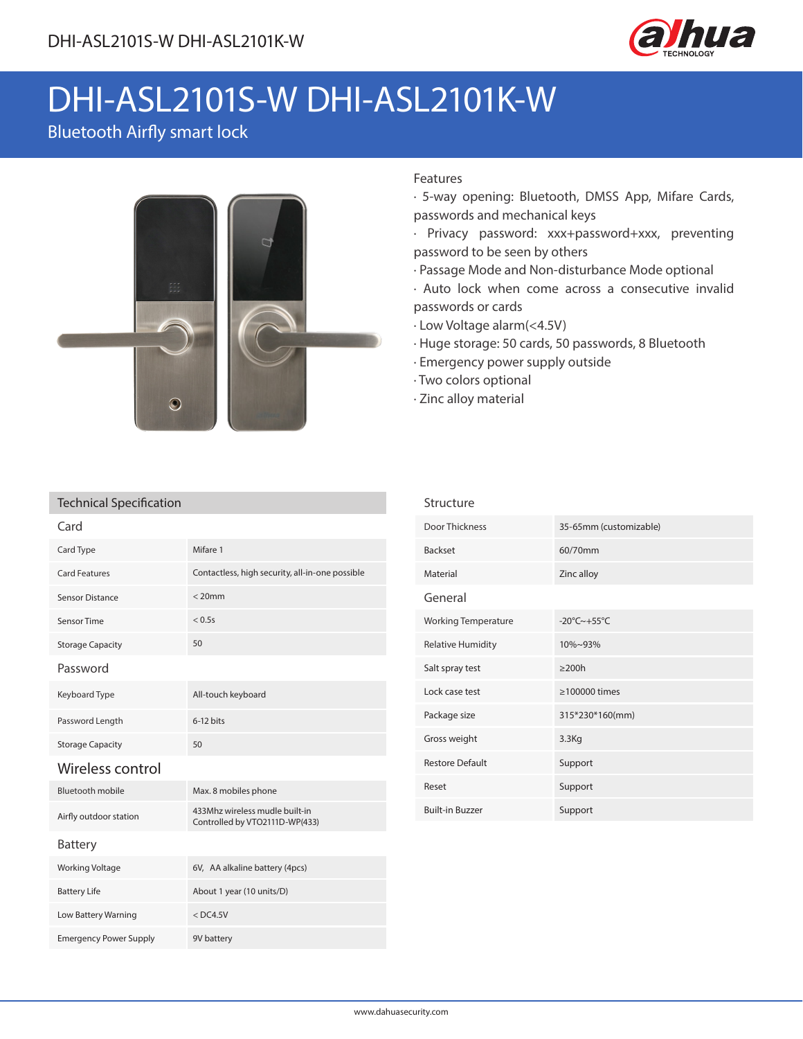

# DHI-ASL2101S-W DHI-ASL2101K-W

## Bluetooth Airfly smart lock



### Features

- · 5-way opening: Bluetooth, DMSS App, Mifare Cards, passwords and mechanical keys
- · Privacy password: xxx+password+xxx, preventing password to be seen by others
- · Passage Mode and Non-disturbance Mode optional
- · Auto lock when come across a consecutive invalid passwords or cards
- · Low Voltage alarm(<4.5V)
- · Huge storage: 50 cards, 50 passwords, 8 Bluetooth
- · Emergency power supply outside
- · Two colors optional
- · Zinc alloy material

Structure

#### Technical Specification

Emergency Power Supply 9V battery

| Card                    |                                                                  |  |  |  |
|-------------------------|------------------------------------------------------------------|--|--|--|
| Card Type               | Mifare 1                                                         |  |  |  |
| Card Features           | Contactless, high security, all-in-one possible                  |  |  |  |
| Sensor Distance         | $< 20$ mm                                                        |  |  |  |
| Sensor Time             | < 0.5s                                                           |  |  |  |
| <b>Storage Capacity</b> | 50                                                               |  |  |  |
| Password                |                                                                  |  |  |  |
| Keyboard Type           | All-touch keyboard                                               |  |  |  |
| Password Length         | $6-12$ bits                                                      |  |  |  |
| <b>Storage Capacity</b> | 50                                                               |  |  |  |
| Wireless control        |                                                                  |  |  |  |
| <b>Bluetooth mobile</b> | Max. 8 mobiles phone                                             |  |  |  |
| Airfly outdoor station  | 433Mhz wireless mudle built-in<br>Controlled by VTO2111D-WP(433) |  |  |  |
| <b>Battery</b>          |                                                                  |  |  |  |
| Working Voltage         | 6V, AA alkaline battery (4pcs)                                   |  |  |  |
| <b>Battery Life</b>     | About 1 year (10 units/D)                                        |  |  |  |
| Low Battery Warning     | $<$ DC4.5V                                                       |  |  |  |

| Door Thickness             | 35-65mm (customizable)       |  |
|----------------------------|------------------------------|--|
| <b>Backset</b>             | 60/70mm                      |  |
| Material                   | Zinc alloy                   |  |
| General                    |                              |  |
| <b>Working Temperature</b> | $-20^{\circ}$ C $\sim$ +55°C |  |
| <b>Relative Humidity</b>   | $10\% - 93\%$                |  |
| Salt spray test            | $>200h$                      |  |
| Lock case test             | $\geq$ 100000 times          |  |
| Package size               | 315*230*160(mm)              |  |
| Gross weight               | 3.3Kg                        |  |
| <b>Restore Default</b>     | Support                      |  |
| Reset                      | Support                      |  |
| <b>Built-in Buzzer</b>     | Support                      |  |